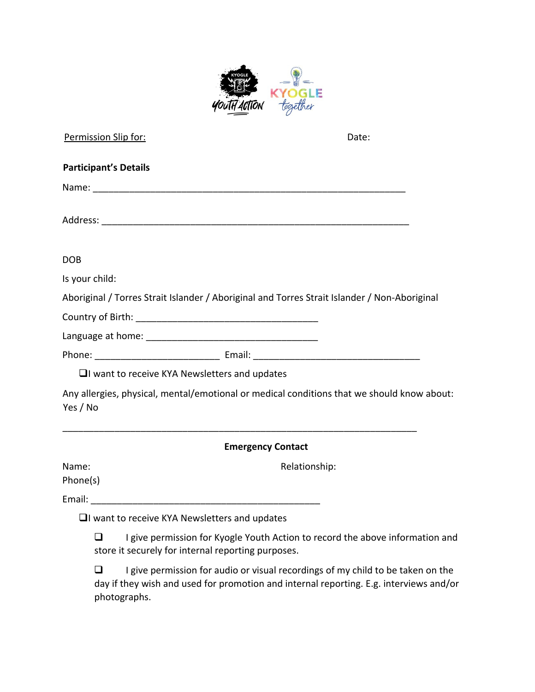

| Permission Slip for:                                                                                                                                                                                                           | Date:                                                                                        |
|--------------------------------------------------------------------------------------------------------------------------------------------------------------------------------------------------------------------------------|----------------------------------------------------------------------------------------------|
| <b>Participant's Details</b>                                                                                                                                                                                                   |                                                                                              |
|                                                                                                                                                                                                                                |                                                                                              |
|                                                                                                                                                                                                                                |                                                                                              |
| <b>DOB</b>                                                                                                                                                                                                                     |                                                                                              |
| Is your child:                                                                                                                                                                                                                 |                                                                                              |
|                                                                                                                                                                                                                                | Aboriginal / Torres Strait Islander / Aboriginal and Torres Strait Islander / Non-Aboriginal |
|                                                                                                                                                                                                                                |                                                                                              |
|                                                                                                                                                                                                                                |                                                                                              |
|                                                                                                                                                                                                                                |                                                                                              |
| $\Box$ want to receive KYA Newsletters and updates                                                                                                                                                                             |                                                                                              |
| Yes / No                                                                                                                                                                                                                       | Any allergies, physical, mental/emotional or medical conditions that we should know about:   |
|                                                                                                                                                                                                                                | <b>Emergency Contact</b>                                                                     |
| Name:                                                                                                                                                                                                                          | Relationship:                                                                                |
| Phone(s)                                                                                                                                                                                                                       |                                                                                              |
| Email: Email: All and the state of the state of the state of the state of the state of the state of the state of the state of the state of the state of the state of the state of the state of the state of the state of the s |                                                                                              |
| $\Box$ I want to receive KYA Newsletters and updates                                                                                                                                                                           |                                                                                              |
| □<br>store it securely for internal reporting purposes.                                                                                                                                                                        | I give permission for Kyogle Youth Action to record the above information and                |

 $\Box$  I give permission for audio or visual recordings of my child to be taken on the day if they wish and used for promotion and internal reporting. E.g. interviews and/or photographs.